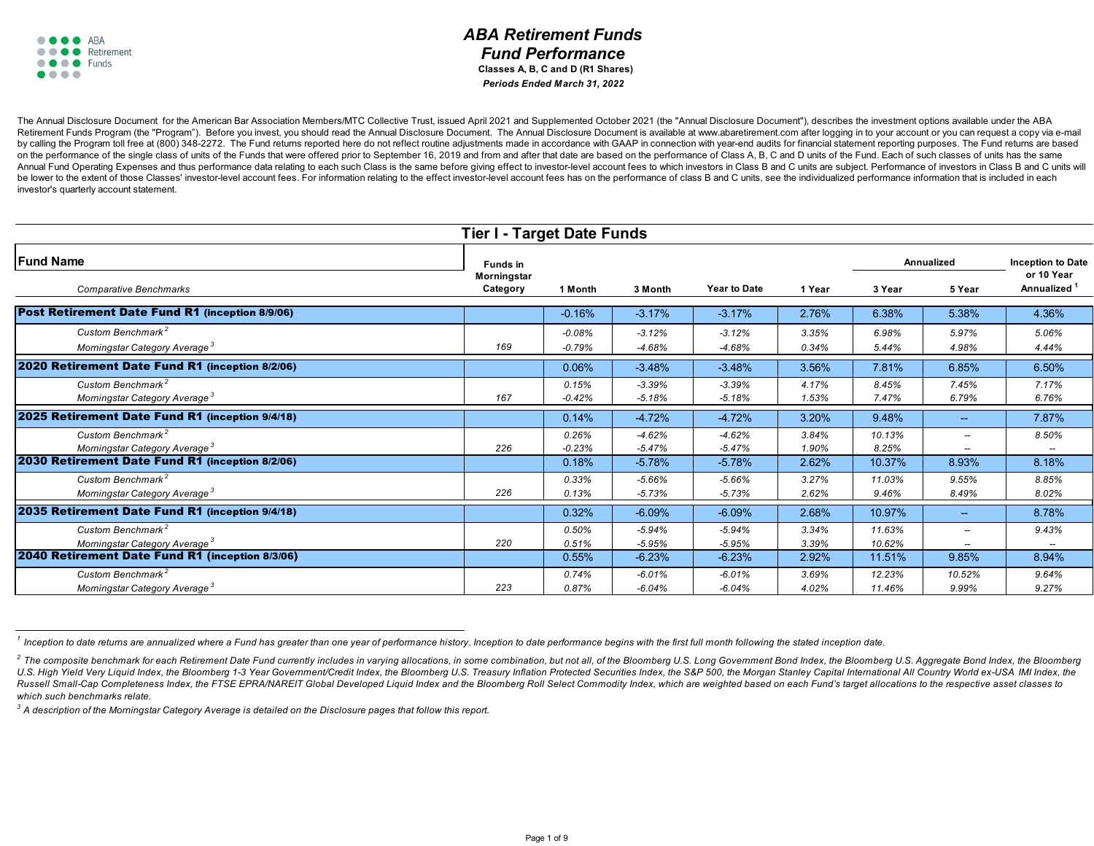### *ABA Retirement Funds Fund Performance*  **Classes A, B, C and D (R1 Shares)** *Periods Ended March 31, 2022*

The Annual Disclosure Document for the American Bar Association Members/MTC Collective Trust, issued April 2021 and Supplemented October 2021 (the "Annual Disclosure Document"), describes the investment options available u Retirement Funds Program (the "Program"). Before you invest, you should read the Annual Disclosure Document. The Annual Disclosure Document is available at www.abaretirement.com after logging in to your account or you can by calling the Program toll free at (800) 348-2272. The Fund returns reported here do not reflect routine adiustments made in accordance with GAAP in connection with year-end audits for financial statement reporting purpos on the performance of the single class of units of the Funds that were offered prior to September 16, 2019 and from and after that date are based on the performance of Class A, B, C and D units of the Fund, Each of such cl Annual Fund Operating Expenses and thus performance data relating to each such Class is the same before giving effect to investor-level account fees to which investors in Class B and C units are subject. Performance of inv be lower to the extent of those Classes' investor-level account fees. For information relating to the effect investor-level account fees has on the performance of class B and C units, see the individualized performance inf investor's quarterly account statement.

| <b>Tier I - Target Date Funds</b>                                          |                         |                      |                      |                      |                |                   |                          |                          |  |
|----------------------------------------------------------------------------|-------------------------|----------------------|----------------------|----------------------|----------------|-------------------|--------------------------|--------------------------|--|
| <b>Fund Name</b>                                                           | <b>Funds in</b>         |                      |                      |                      |                | <b>Annualized</b> |                          | <b>Inception to Date</b> |  |
| <b>Comparative Benchmarks</b>                                              | Morningstar<br>Category | 1 Month              | 3 Month              | <b>Year to Date</b>  | 1 Year         | 3 Year            | 5 Year                   | or 10 Year<br>Annualized |  |
| Post Retirement Date Fund R1 (inception 8/9/06)                            |                         | $-0.16%$             | $-3.17%$             | $-3.17%$             | 2.76%          | 6.38%             | 5.38%                    | 4.36%                    |  |
| Custom Benchmark <sup>2</sup><br>Morningstar Category Average <sup>3</sup> | 169                     | $-0.08%$<br>$-0.79%$ | $-3.12%$<br>$-4.68%$ | $-3.12%$<br>$-4.68%$ | 3.35%<br>0.34% | 6.98%<br>5.44%    | 5.97%<br>4.98%           | 5.06%<br>4.44%           |  |
| 2020 Retirement Date Fund R1 (inception 8/2/06)                            |                         | 0.06%                | $-3.48%$             | $-3.48%$             | 3.56%          | 7.81%             | 6.85%                    | 6.50%                    |  |
| Custom Benchmark <sup>2</sup><br>Morningstar Category Average <sup>3</sup> | 167                     | 0.15%<br>$-0.42%$    | $-3.39%$<br>$-5.18%$ | $-3.39%$<br>$-5.18%$ | 4.17%<br>1.53% | 8.45%<br>7.47%    | 7.45%<br>6.79%           | 7.17%<br>6.76%           |  |
| 2025 Retirement Date Fund R1 (inception 9/4/18)                            |                         | 0.14%                | $-4.72%$             | $-4.72%$             | 3.20%          | 9.48%             | $\overline{\phantom{a}}$ | 7.87%                    |  |
| Custom Benchmark <sup>2</sup><br>Morningstar Category Average <sup>3</sup> | 226                     | 0.26%<br>$-0.23%$    | $-4.62%$<br>$-5.47%$ | $-4.62%$<br>$-5.47%$ | 3.84%<br>1.90% | 10.13%<br>8.25%   | $\overline{\phantom{a}}$ | 8.50%                    |  |
| 2030 Retirement Date Fund R1 (inception 8/2/06)                            |                         | 0.18%                | $-5.78%$             | $-5.78%$             | 2.62%          | 10.37%            | 8.93%                    | 8.18%                    |  |
| Custom Benchmark <sup>2</sup><br>Morningstar Category Average <sup>3</sup> | 226                     | 0.33%<br>0.13%       | $-5.66%$<br>$-5.73%$ | $-5.66%$<br>$-5.73%$ | 3.27%<br>2.62% | 11.03%<br>9.46%   | 9.55%<br>8.49%           | 8.85%<br>8.02%           |  |
| 2035 Retirement Date Fund R1 (inception 9/4/18)                            |                         | 0.32%                | $-6.09%$             | $-6.09%$             | 2.68%          | 10.97%            | $\overline{\phantom{a}}$ | 8.78%                    |  |
| Custom Benchmark <sup>2</sup><br>Morningstar Category Average <sup>3</sup> | 220                     | 0.50%<br>0.51%       | $-5.94%$<br>$-5.95%$ | $-5.94%$<br>$-5.95%$ | 3.34%<br>3.39% | 11.63%<br>10.62%  | $\overline{\phantom{a}}$ | 9.43%                    |  |
| 2040 Retirement Date Fund R1 (inception 8/3/06)                            |                         | 0.55%                | $-6.23%$             | $-6.23%$             | 2.92%          | 11.51%            | 9.85%                    | 8.94%                    |  |
| Custom Benchmark <sup>2</sup><br>Morningstar Category Average <sup>3</sup> | 223                     | 0.74%<br>0.87%       | $-6.01%$<br>$-6.04%$ | $-6.01%$<br>$-6.04%$ | 3.69%<br>4.02% | 12.23%<br>11.46%  | 10.52%<br>9.99%          | 9.64%<br>9.27%           |  |

*<sup>1</sup> Inception to date returns are annualized where a Fund has greater than one year of performance history. Inception to date performance begins with the first full month following the stated inception date.*

*3 A description of the Morningstar Category Average is detailed on the Disclosure pages that follow this report.*

<sup>&</sup>lt;sup>2</sup> The composite benchmark for each Retirement Date Fund currently includes in varying allocations, in some combination, but not all, of the Bloomberg U.S. Long Government Bond Index, the Bloomberg U.S. Aggregate Bond Ind U.S. High Yield Very Liquid Index, the Bloomberg 1-3 Year Government/Credit Index, the Bloomberg U.S. Treasury Inflation Protected Securities Index, the S&P 500, the Morgan Stanley Capital International All Country World e Russell Small-Cap Completeness Index, the FTSE EPRA/NAREIT Global Developed Liquid Index and the Bloomberg Roll Select Commodity Index, which are weighted based on each Fund's target allocations to the respective asset cla *which such benchmarks relate.*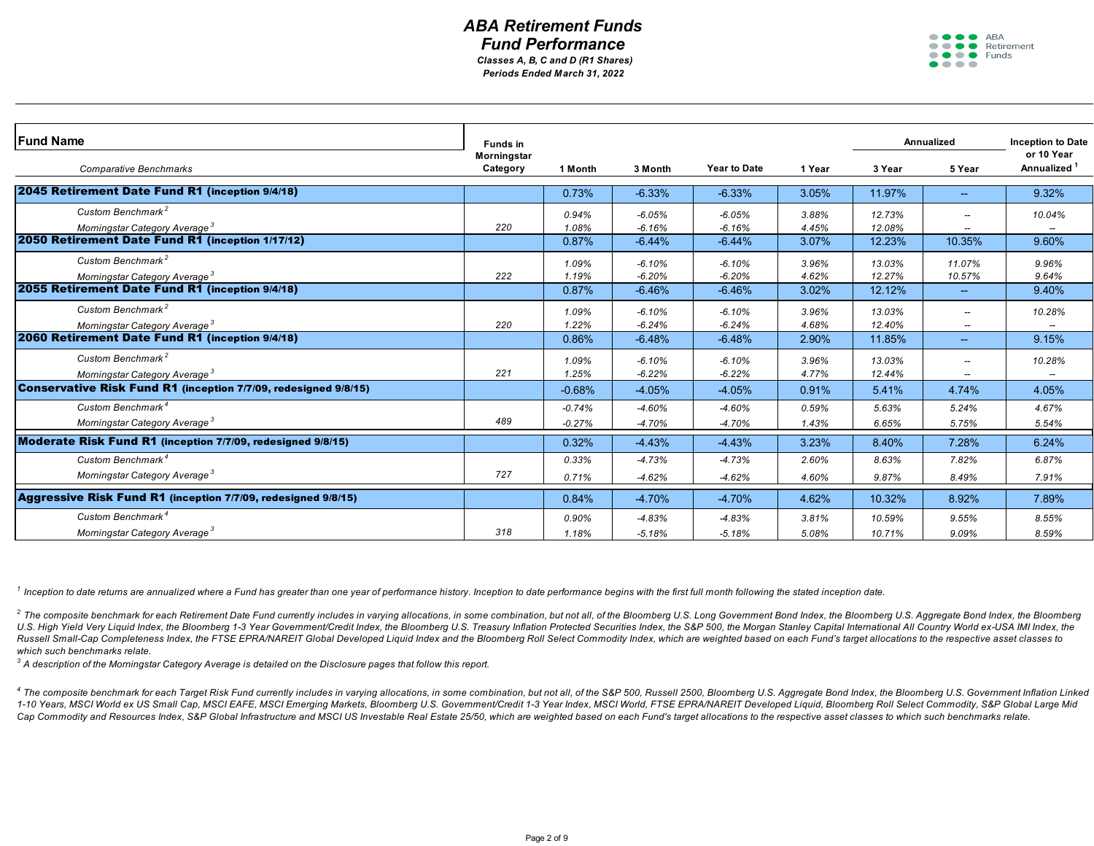### *ABA Retirement Funds Fund Performance Periods Ended March 31, 2022 Classes A, B, C and D (R1 Shares)*

 $\bullet\bullet\bullet\bullet$ **ABA**  $\bullet \bullet \bullet \bullet$  Retirement  $\bullet \bullet \bullet \bullet$  Funds  $\bullet\bullet\bullet\bullet$ 

| <b>Fund Name</b>                                                | <b>Funds in</b> |          |          |                     |        |        | <b>Annualized</b>        | <b>Inception to Date</b> |
|-----------------------------------------------------------------|-----------------|----------|----------|---------------------|--------|--------|--------------------------|--------------------------|
|                                                                 | Morningstar     |          |          |                     |        |        |                          | or 10 Year               |
| <b>Comparative Benchmarks</b>                                   | Category        | 1 Month  | 3 Month  | <b>Year to Date</b> | 1 Year | 3 Year | 5 Year                   | Annualized <sup>1</sup>  |
| 2045 Retirement Date Fund R1 (inception 9/4/18)                 |                 | 0.73%    | $-6.33%$ | $-6.33%$            | 3.05%  | 11.97% | $\sim$                   | 9.32%                    |
| Custom Benchmark <sup>2</sup>                                   |                 | 0.94%    | $-6.05%$ | $-6.05%$            | 3.88%  | 12.73% |                          | 10.04%                   |
| Morningstar Category Average <sup>3</sup>                       | 220             | 1.08%    | $-6.16%$ | $-6.16%$            | 4.45%  | 12.08% |                          |                          |
| 2050 Retirement Date Fund R1 (inception 1/17/12)                |                 | 0.87%    | $-6.44%$ | $-6.44%$            | 3.07%  | 12.23% | 10.35%                   | 9.60%                    |
| Custom Benchmark <sup>2</sup>                                   |                 | 1.09%    | $-6.10%$ | $-6.10%$            | 3.96%  | 13.03% | 11.07%                   | 9.96%                    |
| Morningstar Category Average <sup>3</sup>                       | 222             | 1.19%    | $-6.20%$ | $-6.20%$            | 4.62%  | 12.27% | 10.57%                   | 9.64%                    |
| 2055 Retirement Date Fund R1 (inception 9/4/18)                 |                 | 0.87%    | $-6.46%$ | $-6.46%$            | 3.02%  | 12.12% | $\sim$                   | 9.40%                    |
| Custom Benchmark <sup>2</sup>                                   |                 | 1.09%    | $-6.10%$ | $-6.10%$            | 3.96%  | 13.03% |                          | 10.28%                   |
| Morningstar Category Average <sup>3</sup>                       | 220             | 1.22%    | $-6.24%$ | $-6.24%$            | 4.68%  | 12.40% |                          |                          |
| 2060 Retirement Date Fund R1 (inception 9/4/18)                 |                 | 0.86%    | $-6.48%$ | $-6.48%$            | 2.90%  | 11.85% | $\overline{\phantom{a}}$ | 9.15%                    |
| Custom Benchmark <sup>2</sup>                                   |                 | 1.09%    | $-6.10%$ | $-6.10%$            | 3.96%  | 13.03% |                          | 10.28%                   |
| Morningstar Category Average <sup>3</sup>                       | 221             | 1.25%    | $-6.22%$ | $-6.22%$            | 4.77%  | 12.44% |                          |                          |
| Conservative Risk Fund R1 (inception 7/7/09, redesigned 9/8/15) |                 | $-0.68%$ | $-4.05%$ | $-4.05%$            | 0.91%  | 5.41%  | 4.74%                    | 4.05%                    |
| Custom Benchmark <sup>4</sup>                                   |                 | $-0.74%$ | $-4.60%$ | $-4.60%$            | 0.59%  | 5.63%  | 5.24%                    | 4.67%                    |
| Morningstar Category Average <sup>3</sup>                       | 489             | $-0.27%$ | $-4.70%$ | $-4.70%$            | 1.43%  | 6.65%  | 5.75%                    | 5.54%                    |
| Moderate Risk Fund R1 (inception 7/7/09, redesigned 9/8/15)     |                 | 0.32%    | $-4.43%$ | $-4.43%$            | 3.23%  | 8.40%  | 7.28%                    | 6.24%                    |
| Custom Benchmark <sup>4</sup>                                   |                 | 0.33%    | $-4.73%$ | $-4.73%$            | 2.60%  | 8.63%  | 7.82%                    | 6.87%                    |
| Morningstar Category Average <sup>3</sup>                       | 727             | 0.71%    | $-4.62%$ | $-4.62%$            | 4.60%  | 9.87%  | 8.49%                    | 7.91%                    |
| Aggressive Risk Fund R1 (inception 7/7/09, redesigned 9/8/15)   |                 | 0.84%    | $-4.70%$ | $-4.70%$            | 4.62%  | 10.32% | 8.92%                    | 7.89%                    |
| Custom Benchmark <sup>4</sup>                                   |                 | 0.90%    | $-4.83%$ | $-4.83%$            | 3.81%  | 10.59% | 9.55%                    | 8.55%                    |
| Morningstar Category Average <sup>3</sup>                       | 318             | 1.18%    | $-5.18%$ | $-5.18%$            | 5.08%  | 10.71% | 9.09%                    | 8.59%                    |

*1 Inception to date returns are annualized where a Fund has greater than one year of performance history. Inception to date performance begins with the first full month following the stated inception date.*

<sup>2</sup> The composite benchmark for each Retirement Date Fund currently includes in varying allocations, in some combination, but not all, of the Bloomberg U.S. Long Government Bond Index, the Bloomberg U.S. Aggregate Bond Ind U.S. High Yield Very Liquid Index, the Bloomberg 1-3 Year Government/Credit Index, the Bloomberg U.S. Treasury Inflation Protected Securities Index, the S&P 500, the Morgan Stanley Capital International All Country World e Russell Small-Cap Completeness Index, the FTSE EPRA/NAREIT Global Developed Liquid Index and the Bloomberg Roll Select Commodity Index, which are weighted based on each Fund's target allocations to the respective asset cla *which such benchmarks relate.*

*3 A description of the Morningstar Category Average is detailed on the Disclosure pages that follow this report.*

4 The composite benchmark for each Target Risk Fund currently includes in varying allocations, in some combination, but not all, of the S&P 500, Russell 2500, Bloomberg U.S. Aggregate Bond Index, the Bloomberg U.S. Governm 1-10 Years, MSCI World ex US Small Cap, MSCI EAFE, MSCI Emerging Markets, Bloomberg U.S. Government/Credit 1-3 Year Index, MSCI World, FTSE EPRA/NAREIT Developed Liquid, Bloomberg Roll Select Commodity, S&P Global Large Mi Cap Commodity and Resources Index, S&P Global Infrastructure and MSCI US Investable Real Estate 25/50, which are weighted based on each Fund's target allocations to the respective asset classes to which such benchmarks rel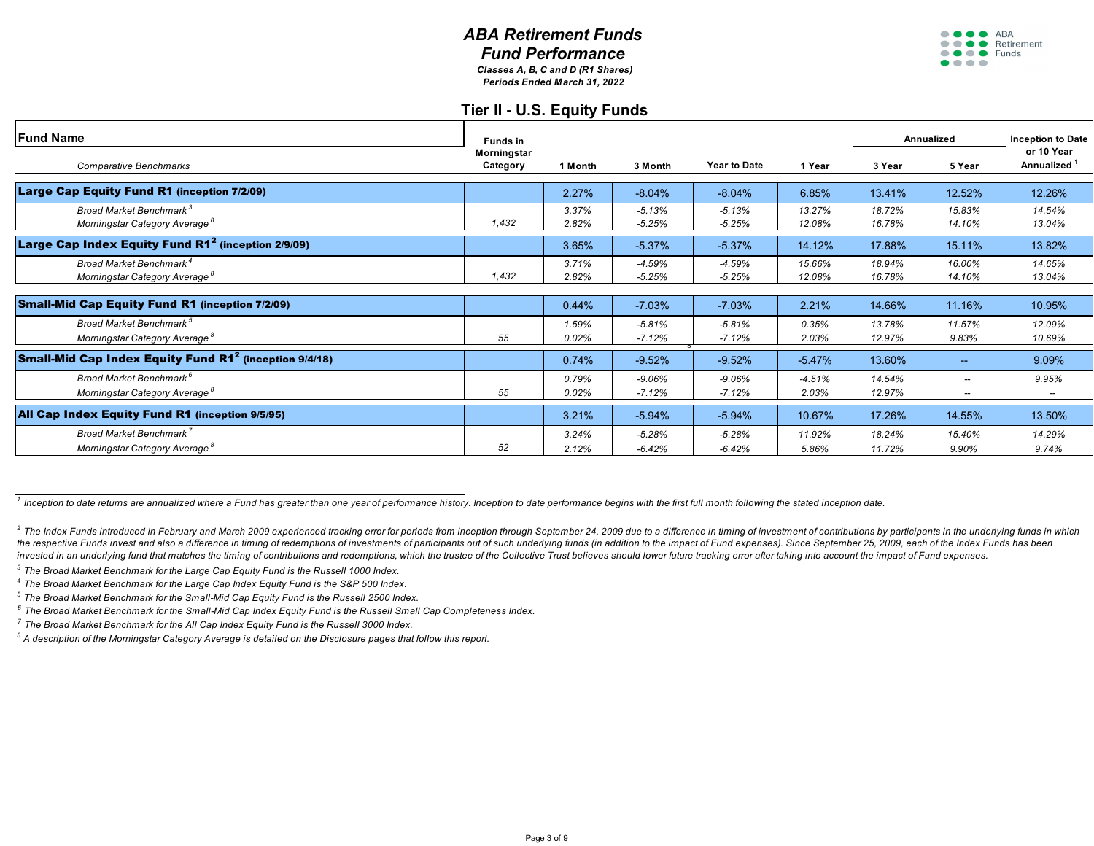*Periods Ended March 31, 2022 Classes A, B, C and D (R1 Shares)* ....

ABA ● ● ● ● Retirement ● ● ● ● Funds  $\bullet\bullet\bullet\bullet$ 

| Tier II - U.S. Equity Funds                                                      |                         |                |                      |                      |                   |                   |                  |                                   |  |  |  |
|----------------------------------------------------------------------------------|-------------------------|----------------|----------------------|----------------------|-------------------|-------------------|------------------|-----------------------------------|--|--|--|
| <b>Fund Name</b><br><b>Comparative Benchmarks</b>                                | <b>Funds in</b>         |                |                      |                      |                   | <b>Annualized</b> |                  | <b>Inception to Date</b>          |  |  |  |
|                                                                                  | Morningstar<br>Category | 1 Month        | 3 Month              | Year to Date         | 1 Year            | 3 Year            | 5 Year           | or 10 Year<br>Annualized          |  |  |  |
| Large Cap Equity Fund R1 (inception 7/2/09)                                      |                         | 2.27%          | $-8.04%$             | $-8.04%$             | 6.85%             | 13.41%            | 12.52%           | 12.26%                            |  |  |  |
| Broad Market Benchmark <sup>3</sup><br>Morningstar Category Average <sup>8</sup> | 1,432                   | 3.37%<br>2.82% | $-5.13%$<br>$-5.25%$ | $-5.13%$<br>$-5.25%$ | 13.27%<br>12.08%  | 18.72%<br>16.78%  | 15.83%<br>14.10% | 14.54%<br>13.04%                  |  |  |  |
| Large Cap Index Equity Fund R1 $^2$ (inception 2/9/09)                           |                         | 3.65%          | $-5.37%$             | $-5.37%$             | 14.12%            | 17.88%            | 15.11%           | 13.82%                            |  |  |  |
| Broad Market Benchmark <sup>4</sup><br>Morningstar Category Average <sup>8</sup> | 1,432                   | 3.71%<br>2.82% | $-4.59%$<br>$-5.25%$ | $-4.59%$<br>$-5.25%$ | 15.66%<br>12.08%  | 18.94%<br>16.78%  | 16.00%<br>14.10% | 14.65%<br>13.04%                  |  |  |  |
| <b>Small-Mid Cap Equity Fund R1 (inception 7/2/09)</b>                           |                         | 0.44%          | $-7.03%$             | $-7.03%$             | 2.21%             | 14.66%            | 11.16%           | 10.95%                            |  |  |  |
| Broad Market Benchmark <sup>5</sup><br>Morningstar Category Average <sup>8</sup> | 55                      | 1.59%<br>0.02% | $-5.81%$<br>$-7.12%$ | $-5.81%$<br>$-7.12%$ | 0.35%<br>2.03%    | 13.78%<br>12.97%  | 11.57%<br>9.83%  | 12.09%<br>10.69%                  |  |  |  |
| Small-Mid Cap Index Equity Fund R1 <sup>2</sup> (inception 9/4/18)               |                         | 0.74%          | $-9.52%$             | $-9.52%$             | $-5.47%$          | 13.60%            | $-$              | 9.09%                             |  |  |  |
| Broad Market Benchmark <sup>6</sup><br>Morningstar Category Average <sup>8</sup> | 55                      | 0.79%<br>0.02% | $-9.06%$<br>$-7.12%$ | $-9.06%$<br>$-7.12%$ | $-4.51%$<br>2.03% | 14.54%<br>12.97%  | --<br>--         | 9.95%<br>$\overline{\phantom{a}}$ |  |  |  |
| All Cap Index Equity Fund R1 (inception 9/5/95)                                  |                         | 3.21%          | $-5.94%$             | $-5.94%$             | 10.67%            | 17.26%            | 14.55%           | 13.50%                            |  |  |  |
| Broad Market Benchmark <sup>7</sup><br>Morningstar Category Average <sup>8</sup> | 52                      | 3.24%<br>2.12% | $-5.28%$<br>$-6.42%$ | $-5.28%$<br>$-6.42%$ | 11.92%<br>5.86%   | 18.24%<br>11.72%  | 15.40%<br>9.90%  | 14.29%<br>9.74%                   |  |  |  |

*1 Inception to date returns are annualized where a Fund has greater than one year of performance history. Inception to date performance begins with the first full month following the stated inception date.*

 $^2$  The Index Funds introduced in February and March 2009 experienced tracking error for periods from inception through September 24, 2009 due to a difference in timing of investment of contributions by participants in t the respective Funds invest and also a difference in timing of redemptions of investments of participants out of such underlying funds (in addition to the impact of Fund expenses). Since September 25, 2009, each of the Ind invested in an underlying fund that matches the timing of contributions and redemptions, which the trustee of the Collective Trust believes should lower future tracking error after taking into account the impact of Fund ex

*3 The Broad Market Benchmark for the Large Cap Equity Fund is the Russell 1000 Index.*

*4 The Broad Market Benchmark for the Large Cap Index Equity Fund is the S&P 500 Index.*

*5 The Broad Market Benchmark for the Small-Mid Cap Equity Fund is the Russell 2500 Index.*

*6 The Broad Market Benchmark for the Small-Mid Cap Index Equity Fund is the Russell Small Cap Completeness Index.*

*7 The Broad Market Benchmark for the All Cap Index Equity Fund is the Russell 3000 Index.*

*8 A description of the Morningstar Category Average is detailed on the Disclosure pages that follow this report.*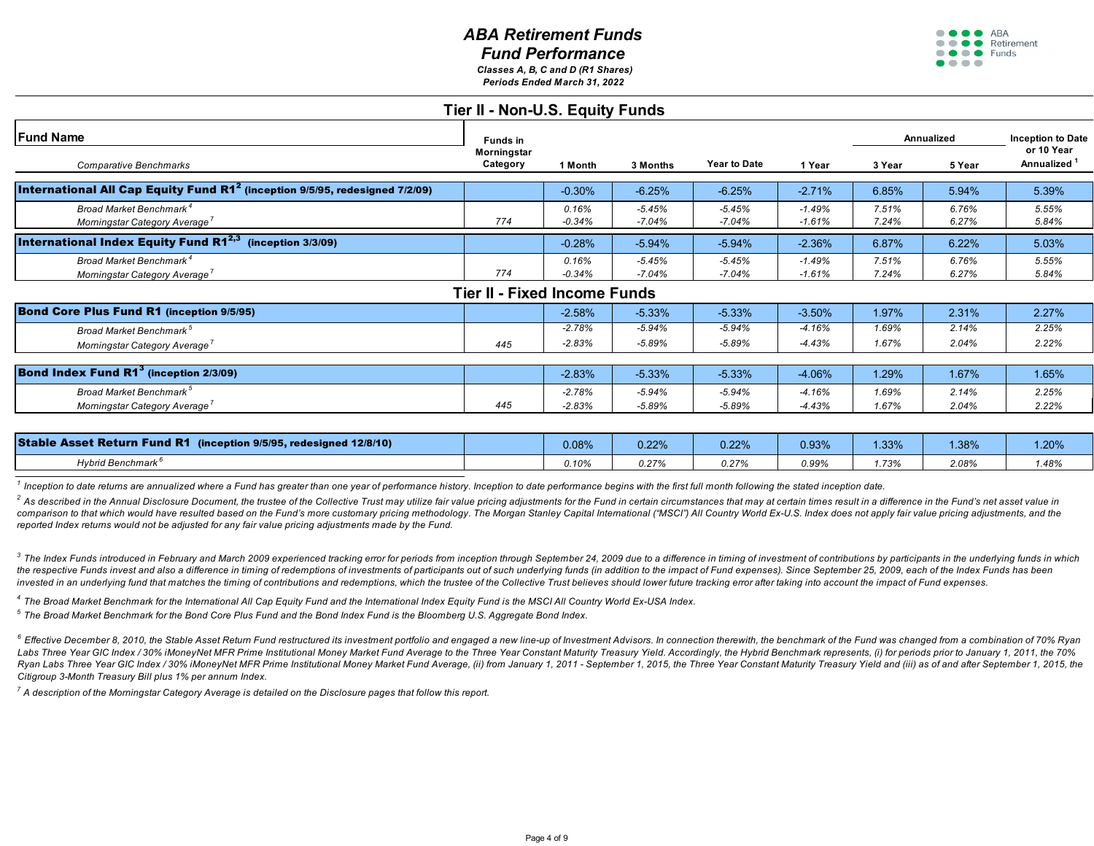*Periods Ended March 31, 2022 Classes A, B, C and D (R1 Shares)*

#### **OOO** ARA  $\bullet \bullet \bullet \bullet$  Retirement ● ● ● ● Funds  $\bullet\bullet\bullet\bullet$

|                                                                                               | Tier II - Non-U.S. Equity Funds |                   |                      |                      |                      |                |                |                          |
|-----------------------------------------------------------------------------------------------|---------------------------------|-------------------|----------------------|----------------------|----------------------|----------------|----------------|--------------------------|
| <b>Fund Name</b>                                                                              | <b>Funds</b> in                 |                   |                      |                      |                      | Annualized     |                | <b>Inception to Date</b> |
| Comparative Benchmarks                                                                        | Morningstar<br>Category         | 1 Month           | 3 Months             | <b>Year to Date</b>  | 1 Year               | 3 Year         | 5 Year         | or 10 Year<br>Annualized |
| <b>International All Cap Equity Fund R1<sup>2</sup> (inception 9/5/95, redesigned 7/2/09)</b> |                                 | $-0.30%$          | $-6.25%$             | $-6.25%$             | $-2.71%$             | 6.85%          | 5.94%          | 5.39%                    |
| Broad Market Benchmark <sup>4</sup><br>Morningstar Category Average                           | 774                             | 0.16%<br>$-0.34%$ | $-5.45%$<br>$-7.04%$ | $-5.45%$<br>$-7.04%$ | $-1.49%$<br>$-1.61%$ | 7.51%<br>7.24% | 6.76%<br>6.27% | 5.55%<br>5.84%           |
| <b>International Index Equity Fund R12,3</b><br>(inception 3/3/09)                            |                                 | $-0.28%$          | $-5.94%$             | $-5.94%$             | $-2.36%$             | 6.87%          | 6.22%          | 5.03%                    |
| Broad Market Benchmark <sup>4</sup><br>Morningstar Category Average                           | 774                             | 0.16%<br>$-0.34%$ | $-5.45%$<br>$-7.04%$ | $-5.45%$<br>$-7.04%$ | $-1.49%$<br>$-1.61%$ | 7.51%<br>7.24% | 6.76%<br>6.27% | 5.55%<br>5.84%           |
|                                                                                               | Tier II - Fixed Income Funds    |                   |                      |                      |                      |                |                |                          |
| <b>Bond Core Plus Fund R1 (inception 9/5/95)</b>                                              |                                 | $-2.58%$          | $-5.33%$             | $-5.33%$             | $-3.50%$             | 1.97%          | 2.31%          | 2.27%                    |
| Broad Market Benchmark <sup>5</sup>                                                           |                                 | $-2.78%$          | $-5.94%$             | $-5.94%$             | $-4.16%$             | 1.69%          | 2.14%          | 2.25%                    |
| Morningstar Category Average <sup>7</sup>                                                     | 445                             | $-2.83%$          | $-5.89%$             | -5.89%               | $-4.43%$             | 1.67%          | 2.04%          | 2.22%                    |
| <b>Bond Index Fund R1</b> $^3$ (inception 2/3/09)                                             |                                 | $-2.83%$          | $-5.33%$             | $-5.33%$             | $-4.06%$             | 1.29%          | 1.67%          | 1.65%                    |
| Broad Market Benchmark <sup>5</sup>                                                           |                                 | $-2.78%$          | -5.94%               | $-5.94\%$            | $-4.16%$             | 1.69%          | 2.14%          | 2.25%                    |
| Morningstar Category Average'                                                                 | 445                             | $-2.83%$          | $-5.89%$             | -5.89%               | -4.43%               | 1.67%          | 2.04%          | 2.22%                    |

| <b>Stable Asset Return Fund R1</b><br>(inception $9/5/95$ , redesigned $12/8/10$ ) | 0.08% | 0.22% | 0.22% | 0.93% | 1.33% | 1.38% | 1.20% |
|------------------------------------------------------------------------------------|-------|-------|-------|-------|-------|-------|-------|
| Hvbrid Benchmark <sup>6</sup>                                                      | 0.10% | ) 27% | 0.27% | 0.99% | .73%  | 2.08% | .48%  |

<sup>1</sup> Inception to date returns are annualized where a Fund has greater than one year of performance history. Inception to date performance begins with the first full month following the stated inception date.

<sup>2</sup> As described in the Annual Disclosure Document, the trustee of the Collective Trust may utilize fair value pricing adjustments for the Fund in certain circumstances that may at certain times result in a difference in t comparison to that which would have resulted based on the Fund's more customary pricing methodology. The Morgan Stanley Capital International ("MSCI") All Country World Ex-U.S. Index does not apply fair value pricing adjus *reported Index returns would not be adjusted for any fair value pricing adjustments made by the Fund.* 

<sup>3</sup> The Index Funds introduced in February and March 2009 experienced tracking error for periods from inception through September 24, 2009 due to a difference in timing of investment of contributions by participants in the the respective Funds invest and also a difference in timing of redemptions of investments of participants out of such underlying funds (in addition to the impact of Fund expenses). Since September 25, 2009, each of the Ind invested in an underlying fund that matches the timing of contributions and redemptions, which the trustee of the Collective Trust believes should lower future tracking error after taking into account the impact of Fund ex

*4 The Broad Market Benchmark for the International All Cap Equity Fund and the International Index Equity Fund is the MSCI All Country World Ex-USA Index.*

*5 The Broad Market Benchmark for the Bond Core Plus Fund and the Bond Index Fund is the Bloomberg U.S. Aggregate Bond Index.*

<sup>6</sup> Effective December 8, 2010, the Stable Asset Retum Fund restructured its investment portfolio and engaged a new line-up of Investment Advisors. In connection therewith, the benchmark of the Fund was changed from a comb Labs Three Year GIC Index / 30% iMoneyNet MFR Prime Institutional Money Market Fund Average to the Three Year Constant Maturity Treasury Yield. Accordingly, the Hybrid Benchmark represents, (i) for periods prior to January Ryan Labs Three Year GIC Index / 30% iMoneyNet MFR Prime Institutional Money Market Fund Average, (ii) from January 1, 2011 - September 1, 2015, the Three Year Constant Maturity Treasury Yield and (iii) as of and after Sep *Citigroup 3-Month Treasury Bill plus 1% per annum Index.*

*7 A description of the Morningstar Category Average is detailed on the Disclosure pages that follow this report.*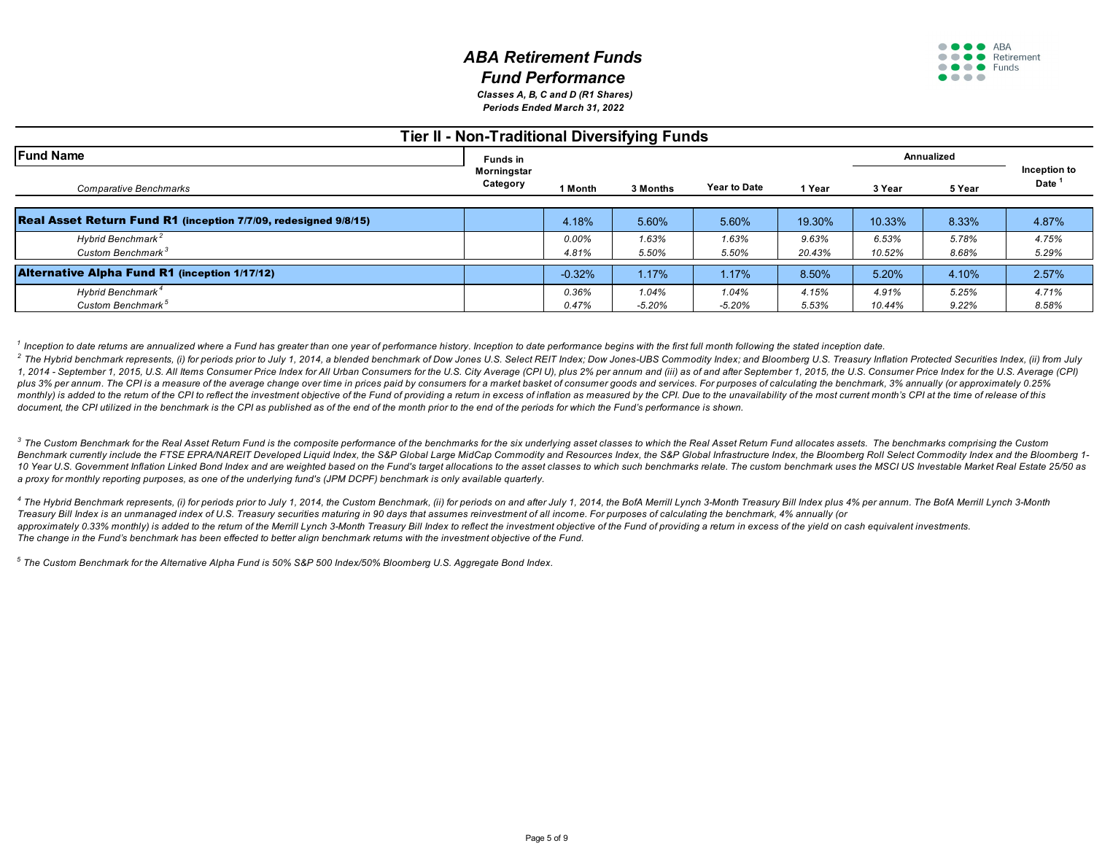*Periods Ended March 31, 2022 Classes A, B, C and D (R1 Shares)*

### **Tier II - Non-Traditional Diversifying Funds**

| <b>Fund Name</b>                                                | <b>Funds in</b>         |          |          |                     |        |        | Annualized |                                   |
|-----------------------------------------------------------------|-------------------------|----------|----------|---------------------|--------|--------|------------|-----------------------------------|
| Comparative Benchmarks                                          | Morningstar<br>Category | 1 Month  | 3 Months | <b>Year to Date</b> | 1 Year | 3 Year | 5 Year     | Inception to<br>Date <sup>1</sup> |
| Real Asset Return Fund R1 (inception 7/7/09, redesigned 9/8/15) |                         | 4.18%    | 5.60%    | 5.60%               | 19.30% | 10.33% | 8.33%      | 4.87%                             |
| Hybrid Benchmark <sup>2</sup>                                   |                         | 0.00%    | 1.63%    | 1.63%               | 9.63%  | 6.53%  | 5.78%      | 4.75%                             |
| Custom Benchmark <sup>3</sup>                                   |                         | 4.81%    | 5.50%    | 5.50%               | 20.43% | 10.52% | 8.68%      | 5.29%                             |
| <b>Alternative Alpha Fund R1 (inception 1/17/12)</b>            |                         | $-0.32%$ | 1.17%    | 1.17%               | 8.50%  | 5.20%  | 4.10%      | 2.57%                             |
| Hybrid Benchmark <sup>4</sup>                                   |                         | 0.36%    | 1.04%    | 1.04%               | 4.15%  | 4.91%  | 5.25%      | 4.71%                             |
| Custom Benchmark <sup>5</sup>                                   |                         | 0.47%    | $-5.20%$ | $-5.20%$            | 5.53%  | 10.44% | 9.22%      | 8.58%                             |

<sup>1</sup> Inception to date returns are annualized where a Fund has greater than one year of performance history. Inception to date performance begins with the first full month following the stated inception date.

<sup>2</sup> The Hybrid benchmark represents, (i) for periods prior to July 1, 2014, a blended benchmark of Dow Jones U.S. Select REIT Index; Dow Jones-UBS Commodity Index; and Bloomberg U.S. Treasury Inflation Protected Securities 1, 2014 - September 1, 2015, U.S. All Items Consumer Price Index for All Urban Consumers for the U.S. City Average (CPI U), plus 2% per annum and (iii) as of and after September 1, 2015, the U.S. Consumer Price Index for t plus 3% per annum. The CPI is a measure of the average change over time in prices paid by consumers for a market basket of consumer goods and services. For purposes of calculating the benchmark, 3% annually (or approximate monthly) is added to the return of the CPI to reflect the investment objective of the Fund of providing a return in excess of inflation as measured by the CPI. Due to the unavailability of the most current month's CPI at t document, the CPI utilized in the benchmark is the CPI as published as of the end of the month prior to the end of the periods for which the Fund's performance is shown.

<sup>3</sup> The Custom Benchmark for the Real Asset Retum Fund is the composite performance of the benchmarks for the six underlying asset classes to which the Real Asset Return Fund allocates assets. The benchmarks comprising the Benchmark currently include the FTSE EPRA/NAREIT Developed Liquid Index, the S&P Global Large MidCap Commodity and Resources Index, the S&P Global Infrastructure Index, the Bloomberg Roll Select Commodity Index and the Blo 10 Year U.S. Government Inflation Linked Bond Index and are weighted based on the Fund's target allocations to the asset classes to which such benchmarks relate. The custom benchmark uses the MSCI US Investable Market Real *a proxy for monthly reporting purposes, as one of the underlying fund's (JPM DCPF) benchmark is only available quarterly.* 

4 The Hybrid Benchmark represents. (i) for periods prior to July 1, 2014, the Custom Benchmark, (ii) for periods on and after July 1, 2014, the BofA Merrill Lynch 3-Month Treasury Bill Index plus 4% per annum. The BofA Mer *Treasury Bill Index is an unmanaged index of U.S. Treasury securities maturing in 90 days that assumes reinvestment of all income. For purposes of calculating the benchmark, 4% annually (or* approximately 0.33% monthly) is added to the return of the Merrill Lynch 3-Month Treasury Bill Index to reflect the investment objective of the Fund of providing a return in excess of the yield on cash equivalent investmen *The change in the Fund's benchmark has been effected to better align benchmark returns with the investment objective of the Fund.*

*5 The Custom Benchmark for the Alternative Alpha Fund is 50% S&P 500 Index/50% Bloomberg U.S. Aggregate Bond Index.*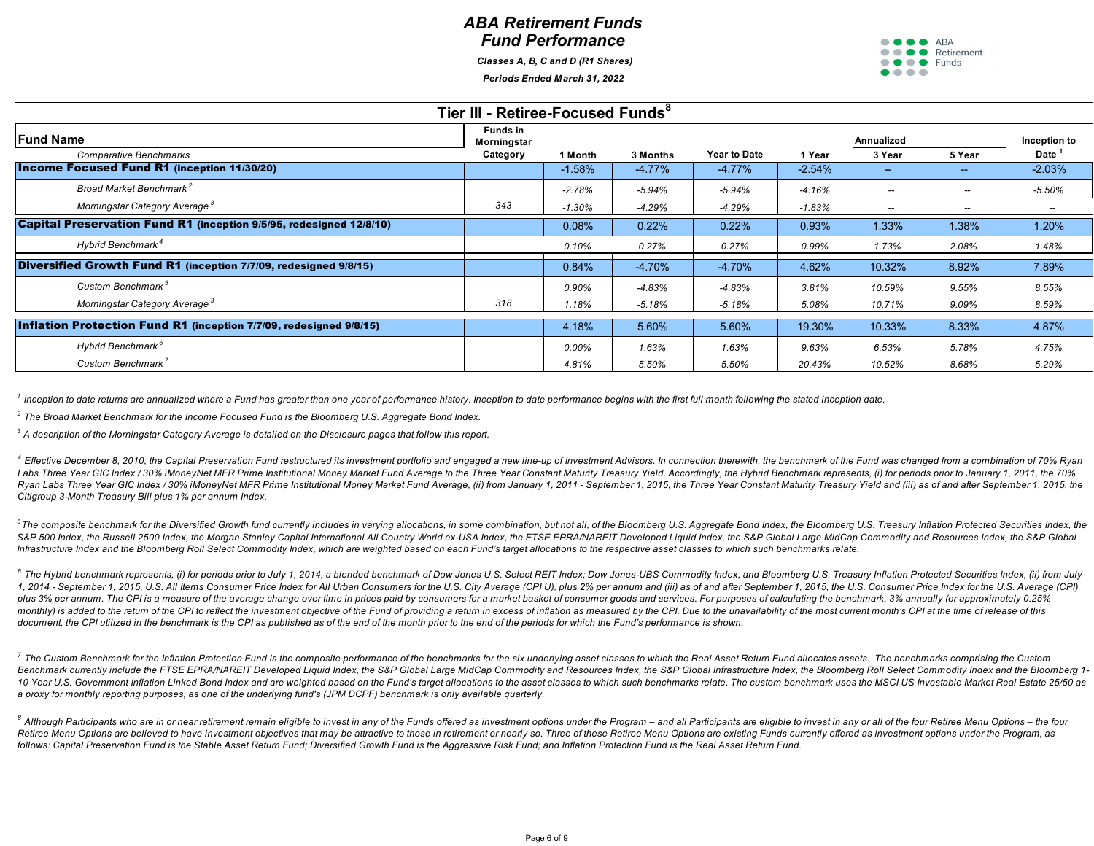*Classes A, B, C and D (R1 Shares)*

*Periods Ended March 31, 2022*



| Tier III - Retiree-Focused Funds <sup>8</sup>                       |                                |          |          |                     |          |                          |        |                   |  |  |  |
|---------------------------------------------------------------------|--------------------------------|----------|----------|---------------------|----------|--------------------------|--------|-------------------|--|--|--|
| <b>Fund Name</b>                                                    | <b>Funds in</b><br>Morningstar |          |          |                     |          | Annualized               |        | Inception to      |  |  |  |
| Comparative Benchmarks                                              | Category                       | 1 Month  | 3 Months | <b>Year to Date</b> | 1 Year   | 3 Year                   | 5 Year | Date <sup>1</sup> |  |  |  |
| <b>Income Focused Fund R1 (inception 11/30/20)</b>                  |                                | $-1.58%$ | $-4.77%$ | $-4.77\%$           | $-2.54%$ | $\sim$                   | $\sim$ | $-2.03%$          |  |  |  |
| Broad Market Benchmark <sup>2</sup>                                 |                                | $-2.78%$ | -5.94%   | $-5.94%$            | $-4.16%$ | $\overline{\phantom{a}}$ |        | $-5.50%$          |  |  |  |
| Morningstar Category Average <sup>3</sup>                           | 343                            | $-1.30%$ | -4.29%   | $-4.29%$            | $-1.83%$ | $\overline{\phantom{a}}$ | --     |                   |  |  |  |
| Capital Preservation Fund R1 (inception 9/5/95, redesigned 12/8/10) |                                | 0.08%    | 0.22%    | 0.22%               | 0.93%    | 1.33%                    | 1.38%  | 1.20%             |  |  |  |
| Hybrid Benchmark <sup>4</sup>                                       |                                | 0.10%    | 0.27%    | 0.27%               | 0.99%    | 1.73%                    | 2.08%  | 1.48%             |  |  |  |
| Diversified Growth Fund R1 (inception 7/7/09, redesigned 9/8/15)    |                                | 0.84%    | $-4.70%$ | $-4.70%$            | 4.62%    | 10.32%                   | 8.92%  | 7.89%             |  |  |  |
| Custom Benchmark <sup>5</sup>                                       |                                | 0.90%    | -4.83%   | $-4.83%$            | 3.81%    | 10.59%                   | 9.55%  | 8.55%             |  |  |  |
| Morningstar Category Average <sup>3</sup>                           | 318                            | 1.18%    | $-5.18%$ | $-5.18%$            | 5.08%    | 10.71%                   | 9.09%  | 8.59%             |  |  |  |
| Inflation Protection Fund R1 (inception 7/7/09, redesigned 9/8/15)  |                                | 4.18%    | 5.60%    | 5.60%               | 19.30%   | 10.33%                   | 8.33%  | 4.87%             |  |  |  |
| Hybrid Benchmark <sup>6</sup>                                       |                                | 0.00%    | 1.63%    | 1.63%               | 9.63%    | 6.53%                    | 5.78%  | 4.75%             |  |  |  |
| Custom Benchmark <sup>7</sup>                                       |                                | 4.81%    | 5.50%    | 5.50%               | 20.43%   | 10.52%                   | 8.68%  | 5.29%             |  |  |  |

*1 Inception to date returns are annualized where a Fund has greater than one year of performance history. Inception to date performance begins with the first full month following the stated inception date.*

*2 The Broad Market Benchmark for the Income Focused Fund is the Bloomberg U.S. Aggregate Bond Index.*

*3 A description of the Morningstar Category Average is detailed on the Disclosure pages that follow this report.*

4 Effective December 8, 2010, the Capital Preservation Fund restructured its investment portfolio and engaged a new line-up of Investment Advisors. In connection therewith, the benchmark of the Fund was changed from a comb Labs Three Year GIC Index / 30% iMoneyNet MFR Prime Institutional Money Market Fund Average to the Three Year Constant Maturity Treasury Yield. Accordingly, the Hybrid Benchmark represents, (i) for periods prior to January Ryan Labs Three Year GIC Index / 30% iMoneyNet MFR Prime Institutional Money Market Fund Average. (ii) from January 1, 2011 - September 1, 2015, the Three Year Constant Maturity Treasury Yield and (iii) as of and after Sep *Citigroup 3-Month Treasury Bill plus 1% per annum Index.*

<sup>5</sup>The composite benchmark for the Diversified Growth fund currently includes in varying allocations, in some combination, but not all, of the Bloomberg U.S. Aggregate Bond Index, the Bloomberg U.S. Treasury Inflation Prot S&P 500 Index, the Russell 2500 Index, the Morgan Stanley Capital International All Country World ex-USA Index, the FTSE EPRA/NAREIT Developed Liguid Index, the S&P Global Large MidCap Commodity and Resources Index, the S& *Infrastructure Index and the Bloomberg Roll Select Commodity Index, which are weighted based on each Fund's target allocations to the respective asset classes to which such benchmarks relate.*

<sup>6</sup> The Hybrid benchmark represents, (i) for periods prior to July 1, 2014, a blended benchmark of Dow Jones U.S. Select REIT Index; Dow Jones-UBS Commodity Index; and Bloomberg U.S. Treasury Inflation Protected Securities 1, 2014 - September 1, 2015, U.S. All Items Consumer Price Index for All Urban Consumers for the U.S. City Average (CPI U), plus 2% per annum and (iii) as of and after September 1, 2015, the U.S. Consumer Price Index for t plus 3% per annum. The CPI is a measure of the average change over time in prices paid by consumers for a market basket of consumer goods and services. For purposes of calculating the benchmark, 3% annually (or approximate monthly) is added to the return of the CPI to reflect the investment objective of the Fund of providing a return in excess of inflation as measured by the CPI. Due to the unavailability of the most current month's CPI at t document, the CPI utilized in the benchmark is the CPI as published as of the end of the month prior to the end of the periods for which the Fund's performance is shown.

 $^7$  The Custom Benchmark for the Inflation Protection Fund is the composite performance of the benchmarks for the six underlying asset classes to which the Real Asset Return Fund allocates assets. The benchmarks comprisi Benchmark currently include the FTSE EPRA/NAREIT Developed Liquid Index, the S&P Global Large MidCap Commodity and Resources Index, the S&P Global Infrastructure Index, the Bloomberg Roll Select Commodity Index and the Blo 10 Year U.S. Government Inflation Linked Bond Index and are weighted based on the Fund's target allocations to the asset classes to which such benchmarks relate. The custom benchmark uses the MSCI US Investable Market Real *a proxy for monthly reporting purposes, as one of the underlying fund's (JPM DCPF) benchmark is only available quarterly.* 

<sup>8</sup> Although Participants who are in or near retirement remain eligible to invest in any of the Funds offered as investment options under the Program – and all Participants are eligible to invest in any or all of the four Retiree Menu Options are believed to have investment objectives that may be attractive to those in retirement or nearly so. Three of these Retiree Menu Options are existing Funds currently offered as investment options und *follows: Capital Preservation Fund is the Stable Asset Return Fund; Diversified Growth Fund is the Aggressive Risk Fund; and Inflation Protection Fund is the Real Asset Return Fund.*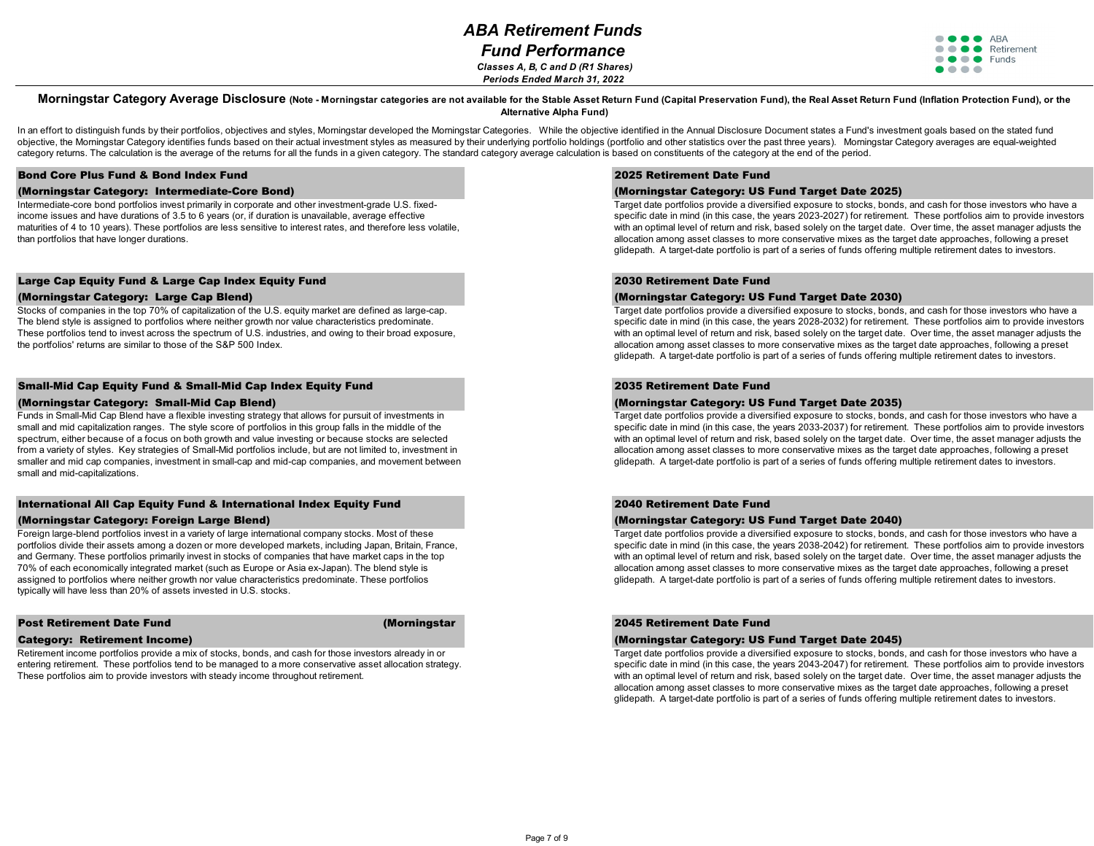*Fund Performance Classes A, B, C and D (R1 Shares) Periods Ended March 31, 2022*

**OOO** ARA **OOO** Retirement  $\bullet \bullet \bullet \bullet$  Funds ....

#### Morningstar Category Average Disclosure (Note - Morningstar categories are not available for the Stable Asset Return Fund (Capital Preservation Fund), the Real Asset Return Fund (Inflation Protection Fund), or the **Alternative Alpha Fund)**

In an effort to distinguish funds by their portfolios, objectives and styles, Momingstar developed the Momingstar Categories. While the objective identified in the Annual Disclosure Document states a Fund's investment goal objective, the Morningstar Category identifies funds based on their actual investment styles as measured by their underlying portfolio holdings (portfolio and other statistics over the past three years). Morningstar Catego category returns. The calculation is the average of the returns for all the funds in a given category. The standard category average calculation is based on constituents of the category at the end of the period.

#### Bond Core Plus Fund & Bond Index Fund

#### (Morningstar Category: Intermediate-Core Bond)

Intermediate-core bond portfolios invest primarily in corporate and other investment-grade U.S. fixedincome issues and have durations of 3.5 to 6 years (or, if duration is unavailable, average effective maturities of 4 to 10 years). These portfolios are less sensitive to interest rates, and therefore less volatile, than portfolios that have longer durations.

#### Large Cap Equity Fund & Large Cap Index Equity Fund

#### (Morningstar Category: Large Cap Blend)

Stocks of companies in the top 70% of capitalization of the U.S. equity market are defined as large-cap. The blend style is assigned to portfolios where neither growth nor value characteristics predominate. These portfolios tend to invest across the spectrum of U.S. industries, and owing to their broad exposure, the portfolios' returns are similar to those of the S&P 500 Index.

#### Small-Mid Cap Equity Fund & Small-Mid Cap Index Equity Fund

#### (Morningstar Category: Small-Mid Cap Blend)

Funds in Small-Mid Cap Blend have a flexible investing strategy that allows for pursuit of investments in small and mid capitalization ranges. The style score of portfolios in this group falls in the middle of the spectrum, either because of a focus on both growth and value investing or because stocks are selected from a variety of styles. Key strategies of Small-Mid portfolios include, but are not limited to, investment in smaller and mid cap companies, investment in small-cap and mid-cap companies, and movement between small and mid-capitalizations.

#### International All Cap Equity Fund & International Index Equity Fund

#### (Morningstar Category: Foreign Large Blend)

Foreign large-blend portfolios invest in a variety of large international company stocks. Most of these portfolios divide their assets among a dozen or more developed markets, including Japan, Britain, France, and Germany. These portfolios primarily invest in stocks of companies that have market caps in the top 70% of each economically integrated market (such as Europe or Asia ex-Japan). The blend style is assigned to portfolios where neither growth nor value characteristics predominate. These portfolios typically will have less than 20% of assets invested in U.S. stocks.

#### Post Retirement Date Fund (Morningstar

#### Category: Retirement Income)

Retirement income portfolios provide a mix of stocks, bonds, and cash for those investors already in or entering retirement. These portfolios tend to be managed to a more conservative asset allocation strategy. These portfolios aim to provide investors with steady income throughout retirement.

#### 2025 Retirement Date Fund

#### (Morningstar Category: US Fund Target Date 2025)

Target date portfolios provide a diversified exposure to stocks, bonds, and cash for those investors who have a specific date in mind (in this case, the years 2023-2027) for retirement. These portfolios aim to provide investors with an optimal level of return and risk, based solely on the target date. Over time, the asset manager adjusts the allocation among asset classes to more conservative mixes as the target date approaches, following a preset glidepath. A target-date portfolio is part of a series of funds offering multiple retirement dates to investors.

#### 2030 Retirement Date Fund

#### (Morningstar Category: US Fund Target Date 2030)

Target date portfolios provide a diversified exposure to stocks, bonds, and cash for those investors who have a specific date in mind (in this case, the years 2028-2032) for retirement. These portfolios aim to provide investors with an optimal level of return and risk, based solely on the target date. Over time, the asset manager adjusts the allocation among asset classes to more conservative mixes as the target date approaches, following a preset glidepath. A target-date portfolio is part of a series of funds offering multiple retirement dates to investors.

#### 2035 Retirement Date Fund

#### (Morningstar Category: US Fund Target Date 2035)

Target date portfolios provide a diversified exposure to stocks, bonds, and cash for those investors who have a specific date in mind (in this case, the years 2033-2037) for retirement. These portfolios aim to provide investors with an optimal level of return and risk, based solely on the target date. Over time, the asset manager adjusts the allocation among asset classes to more conservative mixes as the target date approaches, following a preset glidepath. A target-date portfolio is part of a series of funds offering multiple retirement dates to investors.

#### 2040 Retirement Date Fund

#### (Morningstar Category: US Fund Target Date 2040)

Target date portfolios provide a diversified exposure to stocks, bonds, and cash for those investors who have a specific date in mind (in this case, the years 2038-2042) for retirement. These portfolios aim to provide investors with an optimal level of return and risk, based solely on the target date. Over time, the asset manager adjusts the allocation among asset classes to more conservative mixes as the target date approaches, following a preset glidepath. A target-date portfolio is part of a series of funds offering multiple retirement dates to investors.

#### 2045 Retirement Date Fund

#### (Morningstar Category: US Fund Target Date 2045)

Target date portfolios provide a diversified exposure to stocks, bonds, and cash for those investors who have a specific date in mind (in this case, the years 2043-2047) for retirement. These portfolios aim to provide investors with an optimal level of return and risk, based solely on the target date. Over time, the asset manager adjusts the allocation among asset classes to more conservative mixes as the target date approaches, following a preset glidepath. A target-date portfolio is part of a series of funds offering multiple retirement dates to investors.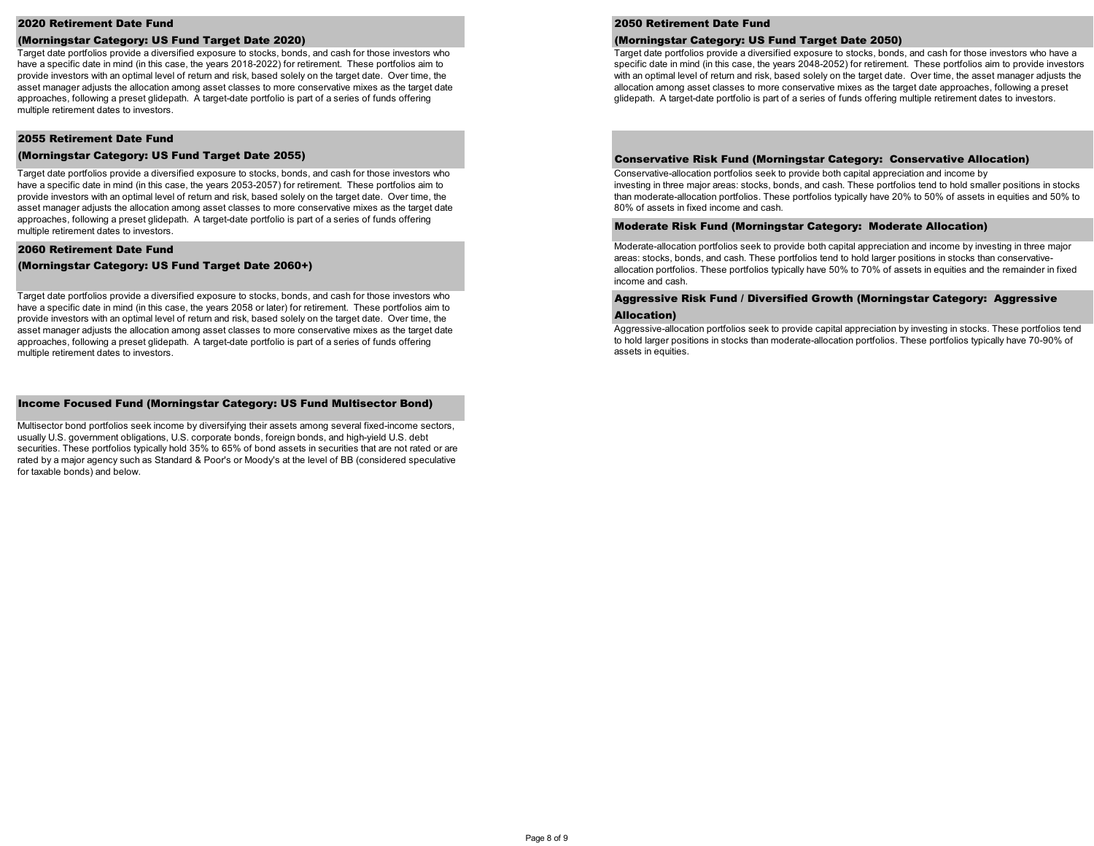#### 2020 Retirement Date Fund

#### (Morningstar Category: US Fund Target Date 2020)

Target date portfolios provide a diversified exposure to stocks, bonds, and cash for those investors who have a specific date in mind (in this case, the years 2018-2022) for retirement. These portfolios aim to provide investors with an optimal level of return and risk, based solely on the target date. Over time, the asset manager adjusts the allocation among asset classes to more conservative mixes as the target date approaches, following a preset glidepath. A target-date portfolio is part of a series of funds offering multiple retirement dates to investors.

#### 2055 Retirement Date Fund

#### (Morningstar Category: US Fund Target Date 2055)

Target date portfolios provide a diversified exposure to stocks, bonds, and cash for those investors who have a specific date in mind (in this case, the years 2053-2057) for retirement. These portfolios aim to provide investors with an optimal level of return and risk, based solely on the target date. Over time, the asset manager adjusts the allocation among asset classes to more conservative mixes as the target date approaches, following a preset glidepath. A target-date portfolio is part of a series of funds offering multiple retirement dates to investors.

#### 2060 Retirement Date Fund

(Morningstar Category: US Fund Target Date 2060+)

Target date portfolios provide a diversified exposure to stocks, bonds, and cash for those investors who have a specific date in mind (in this case, the years 2058 or later) for retirement. These portfolios aim to provide investors with an optimal level of return and risk, based solely on the target date. Over time, the asset manager adjusts the allocation among asset classes to more conservative mixes as the target date approaches, following a preset glidepath. A target-date portfolio is part of a series of funds offering multiple retirement dates to investors.

#### Income Focused Fund (Morningstar Category: US Fund Multisector Bond)

Multisector bond portfolios seek income by diversifying their assets among several fixed-income sectors, usually U.S. government obligations, U.S. corporate bonds, foreign bonds, and high-yield U.S. debt securities. These portfolios typically hold 35% to 65% of bond assets in securities that are not rated or are rated by a major agency such as Standard & Poor's or Moody's at the level of BB (considered speculative for taxable bonds) and below.

#### 2050 Retirement Date Fund

#### (Morningstar Category: US Fund Target Date 2050)

Target date portfolios provide a diversified exposure to stocks, bonds, and cash for those investors who have a specific date in mind (in this case, the years 2048-2052) for retirement. These portfolios aim to provide investors with an optimal level of return and risk, based solely on the target date. Over time, the asset manager adjusts the allocation among asset classes to more conservative mixes as the target date approaches, following a preset glidepath. A target-date portfolio is part of a series of funds offering multiple retirement dates to investors.

#### Conservative Risk Fund (Morningstar Category: Conservative Allocation)

Conservative-allocation portfolios seek to provide both capital appreciation and income by investing in three major areas: stocks, bonds, and cash. These portfolios tend to hold smaller positions in stocks than moderate-allocation portfolios. These portfolios typically have 20% to 50% of assets in equities and 50% to 80% of assets in fixed income and cash.

#### Moderate Risk Fund (Morningstar Category: Moderate Allocation)

Moderate-allocation portfolios seek to provide both capital appreciation and income by investing in three major areas: stocks, bonds, and cash. These portfolios tend to hold larger positions in stocks than conservativeallocation portfolios. These portfolios typically have 50% to 70% of assets in equities and the remainder in fixed income and cash.

# Aggressive Risk Fund / Diversified Growth (Morningstar Category: Aggressive

#### Allocation)

Aggressive-allocation portfolios seek to provide capital appreciation by investing in stocks. These portfolios tend to hold larger positions in stocks than moderate-allocation portfolios. These portfolios typically have 70-90% of assets in equities.